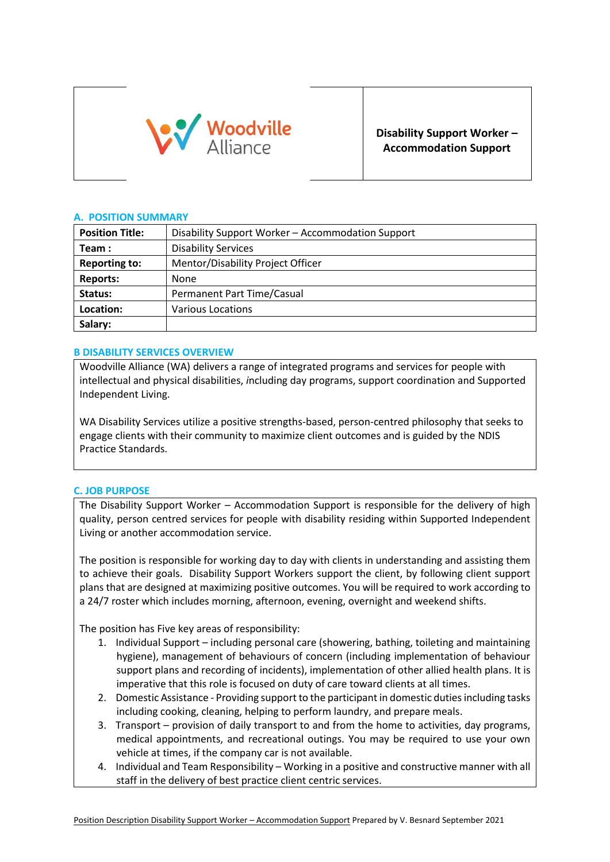

**Disability Support Worker – Accommodation Support**

## **A. POSITION SUMMARY**

| <b>Position Title:</b> | Disability Support Worker - Accommodation Support |  |
|------------------------|---------------------------------------------------|--|
| Team:                  | <b>Disability Services</b>                        |  |
| <b>Reporting to:</b>   | Mentor/Disability Project Officer                 |  |
| <b>Reports:</b>        | None                                              |  |
| Status:                | Permanent Part Time/Casual                        |  |
| Location:              | <b>Various Locations</b>                          |  |
| Salary:                |                                                   |  |

## **B DISABILITY SERVICES OVERVIEW**

Woodville Alliance (WA) delivers a range of integrated programs and services for people with intellectual and physical disabilities, *i*ncluding day programs, support coordination and Supported Independent Living.

WA Disability Services utilize a positive strengths-based, person-centred philosophy that seeks to engage clients with their community to maximize client outcomes and is guided by the NDIS Practice Standards.

### **C. JOB PURPOSE**

The Disability Support Worker – Accommodation Support is responsible for the delivery of high quality, person centred services for people with disability residing within Supported Independent Living or another accommodation service.

The position is responsible for working day to day with clients in understanding and assisting them to achieve their goals. Disability Support Workers support the client, by following client support plans that are designed at maximizing positive outcomes. You will be required to work according to a 24/7 roster which includes morning, afternoon, evening, overnight and weekend shifts.

The position has Five key areas of responsibility:

- 1. Individual Support including personal care (showering, bathing, toileting and maintaining hygiene), management of behaviours of concern (including implementation of behaviour support plans and recording of incidents), implementation of other allied health plans. It is imperative that this role is focused on duty of care toward clients at all times.
- 2. Domestic Assistance Providing support to the participant in domestic duties including tasks including cooking, cleaning, helping to perform laundry, and prepare meals.
- 3. Transport provision of daily transport to and from the home to activities, day programs, medical appointments, and recreational outings. You may be required to use your own vehicle at times, if the company car is not available.
- 4. Individual and Team Responsibility Working in a positive and constructive manner with all staff in the delivery of best practice client centric services.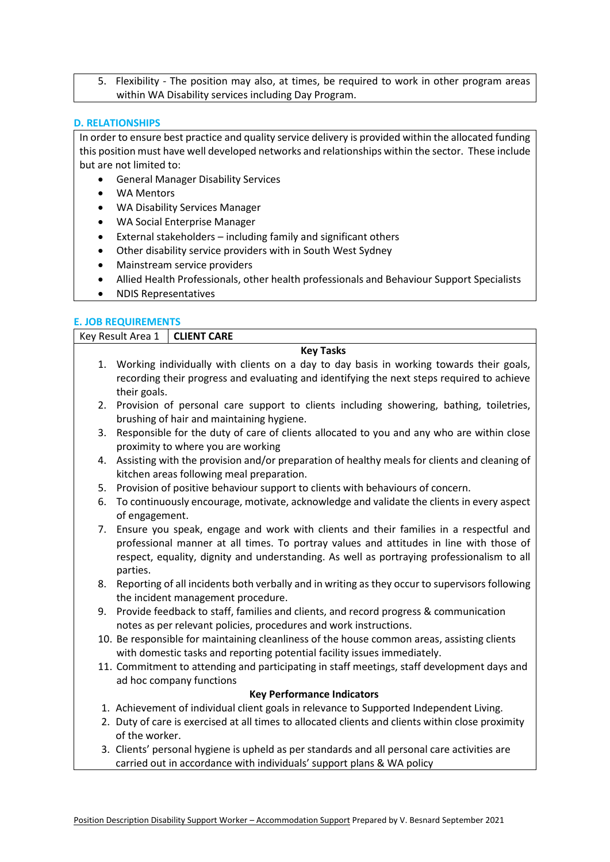5. Flexibility - The position may also, at times, be required to work in other program areas within WA Disability services including Day Program.

#### **D. RELATIONSHIPS**

In order to ensure best practice and quality service delivery is provided within the allocated funding this position must have well developed networks and relationships within the sector. These include but are not limited to:

- General Manager Disability Services
- WA Mentors
- WA Disability Services Manager
- WA Social Enterprise Manager
- External stakeholders including family and significant others
- Other disability service providers with in South West Sydney
- Mainstream service providers
- Allied Health Professionals, other health professionals and Behaviour Support Specialists
- NDIS Representatives

### **E. JOB REQUIREMENTS**

| Key Result Area 1 |                                                                                                                                                                                                                                                                                               | <b>CLIENT CARE</b>                                                                                                                                                      |  |  |
|-------------------|-----------------------------------------------------------------------------------------------------------------------------------------------------------------------------------------------------------------------------------------------------------------------------------------------|-------------------------------------------------------------------------------------------------------------------------------------------------------------------------|--|--|
| <b>Key Tasks</b>  |                                                                                                                                                                                                                                                                                               |                                                                                                                                                                         |  |  |
|                   |                                                                                                                                                                                                                                                                                               | 1. Working individually with clients on a day to day basis in working towards their goals,                                                                              |  |  |
|                   |                                                                                                                                                                                                                                                                                               | recording their progress and evaluating and identifying the next steps required to achieve                                                                              |  |  |
|                   | their goals.                                                                                                                                                                                                                                                                                  |                                                                                                                                                                         |  |  |
|                   |                                                                                                                                                                                                                                                                                               | 2. Provision of personal care support to clients including showering, bathing, toiletries,<br>brushing of hair and maintaining hygiene.                                 |  |  |
| 3.                | Responsible for the duty of care of clients allocated to you and any who are within close<br>proximity to where you are working                                                                                                                                                               |                                                                                                                                                                         |  |  |
|                   |                                                                                                                                                                                                                                                                                               |                                                                                                                                                                         |  |  |
|                   | 4. Assisting with the provision and/or preparation of healthy meals for clients and cleaning of<br>kitchen areas following meal preparation.                                                                                                                                                  |                                                                                                                                                                         |  |  |
| 5.                | Provision of positive behaviour support to clients with behaviours of concern.                                                                                                                                                                                                                |                                                                                                                                                                         |  |  |
| 6.                | of engagement.                                                                                                                                                                                                                                                                                | To continuously encourage, motivate, acknowledge and validate the clients in every aspect                                                                               |  |  |
|                   | 7. Ensure you speak, engage and work with clients and their families in a respectful and<br>professional manner at all times. To portray values and attitudes in line with those of<br>respect, equality, dignity and understanding. As well as portraying professionalism to all<br>parties. |                                                                                                                                                                         |  |  |
| 8.                |                                                                                                                                                                                                                                                                                               | Reporting of all incidents both verbally and in writing as they occur to supervisors following<br>the incident management procedure.                                    |  |  |
|                   |                                                                                                                                                                                                                                                                                               | 9. Provide feedback to staff, families and clients, and record progress & communication<br>notes as per relevant policies, procedures and work instructions.            |  |  |
|                   |                                                                                                                                                                                                                                                                                               | 10. Be responsible for maintaining cleanliness of the house common areas, assisting clients<br>with domestic tasks and reporting potential facility issues immediately. |  |  |
|                   |                                                                                                                                                                                                                                                                                               | 11. Commitment to attending and participating in staff meetings, staff development days and<br>ad hoc company functions                                                 |  |  |
|                   |                                                                                                                                                                                                                                                                                               | <b>Key Performance Indicators</b>                                                                                                                                       |  |  |
|                   |                                                                                                                                                                                                                                                                                               | 1. Achievement of individual client goals in relevance to Supported Independent Living.                                                                                 |  |  |
|                   |                                                                                                                                                                                                                                                                                               | 2. Duty of care is exercised at all times to allocated clients and clients within close proximity                                                                       |  |  |
|                   | of the worker.                                                                                                                                                                                                                                                                                |                                                                                                                                                                         |  |  |
|                   |                                                                                                                                                                                                                                                                                               | 3. Clients' personal hygiene is upheld as per standards and all personal care activities are<br>carried out in accordance with individuals' support plans & WA policy   |  |  |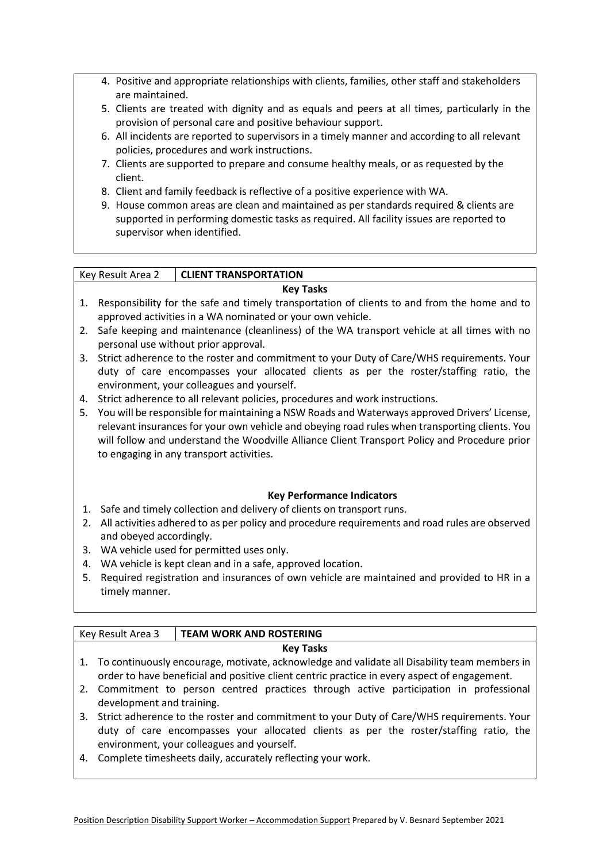- 4. Positive and appropriate relationships with clients, families, other staff and stakeholders are maintained.
- 5. Clients are treated with dignity and as equals and peers at all times, particularly in the provision of personal care and positive behaviour support.
- 6. All incidents are reported to supervisors in a timely manner and according to all relevant policies, procedures and work instructions.
- 7. Clients are supported to prepare and consume healthy meals, or as requested by the client.
- 8. Client and family feedback is reflective of a positive experience with WA.
- 9. House common areas are clean and maintained as per standards required & clients are supported in performing domestic tasks as required. All facility issues are reported to supervisor when identified.

# Key Result Area 2 **CLIENT TRANSPORTATION**

## **Key Tasks**

- 1. Responsibility for the safe and timely transportation of clients to and from the home and to approved activities in a WA nominated or your own vehicle.
- 2. Safe keeping and maintenance (cleanliness) of the WA transport vehicle at all times with no personal use without prior approval.
- 3. Strict adherence to the roster and commitment to your Duty of Care/WHS requirements. Your duty of care encompasses your allocated clients as per the roster/staffing ratio, the environment, your colleagues and yourself.
- 4. Strict adherence to all relevant policies, procedures and work instructions.
- 5. You will be responsible for maintaining a NSW Roads and Waterways approved Drivers' License, relevant insurances for your own vehicle and obeying road rules when transporting clients. You will follow and understand the Woodville Alliance Client Transport Policy and Procedure prior to engaging in any transport activities.

## **Key Performance Indicators**

- 1. Safe and timely collection and delivery of clients on transport runs.
- 2. All activities adhered to as per policy and procedure requirements and road rules are observed and obeyed accordingly.
- 3. WA vehicle used for permitted uses only.
- 4. WA vehicle is kept clean and in a safe, approved location.
- 5. Required registration and insurances of own vehicle are maintained and provided to HR in a timely manner.

## Key Result Area 3 **TEAM WORK AND ROSTERING**

## **Key Tasks**

- 1. To continuously encourage, motivate, acknowledge and validate all Disability team members in order to have beneficial and positive client centric practice in every aspect of engagement.
- 2. Commitment to person centred practices through active participation in professional development and training.
- 3. Strict adherence to the roster and commitment to your Duty of Care/WHS requirements. Your duty of care encompasses your allocated clients as per the roster/staffing ratio, the environment, your colleagues and yourself.
- 4. Complete timesheets daily, accurately reflecting your work.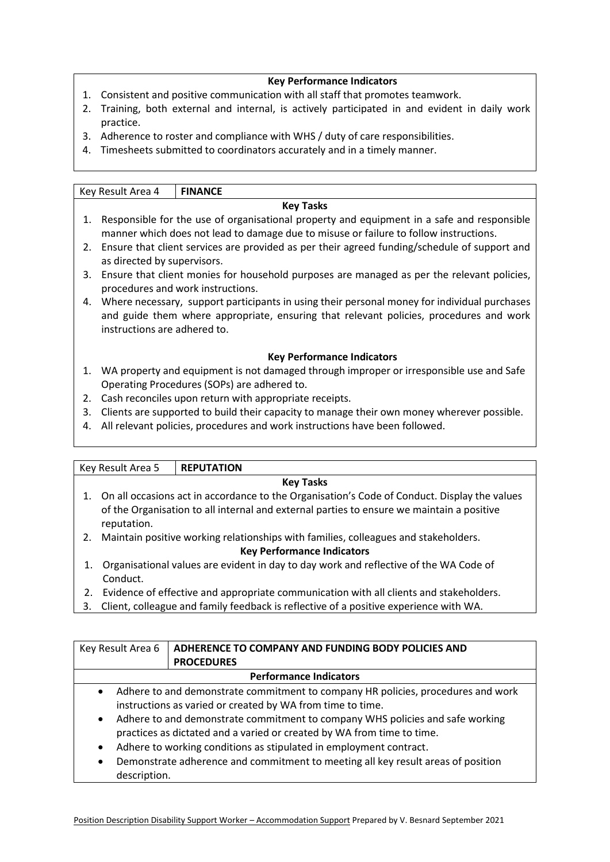### **Key Performance Indicators**

- 1. Consistent and positive communication with all staff that promotes teamwork.
- 2. Training, both external and internal, is actively participated in and evident in daily work practice.
- 3. Adherence to roster and compliance with WHS / duty of care responsibilities.
- 4. Timesheets submitted to coordinators accurately and in a timely manner.

|    | Key Result Area 4                                                                                                                                                                                                      | <b>FINANCE</b>                                                                                                                         |  |
|----|------------------------------------------------------------------------------------------------------------------------------------------------------------------------------------------------------------------------|----------------------------------------------------------------------------------------------------------------------------------------|--|
|    |                                                                                                                                                                                                                        | <b>Key Tasks</b>                                                                                                                       |  |
| 1. | Responsible for the use of organisational property and equipment in a safe and responsible<br>manner which does not lead to damage due to misuse or failure to follow instructions.                                    |                                                                                                                                        |  |
| 2. | Ensure that client services are provided as per their agreed funding/schedule of support and<br>as directed by supervisors.                                                                                            |                                                                                                                                        |  |
| 3. | Ensure that client monies for household purposes are managed as per the relevant policies,<br>procedures and work instructions.                                                                                        |                                                                                                                                        |  |
| 4. | Where necessary, support participants in using their personal money for individual purchases<br>and guide them where appropriate, ensuring that relevant policies, procedures and work<br>instructions are adhered to. |                                                                                                                                        |  |
|    | <b>Key Performance Indicators</b>                                                                                                                                                                                      |                                                                                                                                        |  |
| 1. |                                                                                                                                                                                                                        | WA property and equipment is not damaged through improper or irresponsible use and Safe<br>Operating Procedures (SOPs) are adhered to. |  |
| 2. |                                                                                                                                                                                                                        | Cash reconciles upon return with appropriate receipts.                                                                                 |  |
| 3. |                                                                                                                                                                                                                        | Clients are supported to build their capacity to manage their own money wherever possible.                                             |  |
| 4. |                                                                                                                                                                                                                        | All relevant policies, procedures and work instructions have been followed.                                                            |  |

|                                                                                                                                                                                                             | Key Result Area 5 | <b>REPUTATION</b>                                                                   |
|-------------------------------------------------------------------------------------------------------------------------------------------------------------------------------------------------------------|-------------------|-------------------------------------------------------------------------------------|
| <b>Key Tasks</b>                                                                                                                                                                                            |                   |                                                                                     |
| 1. On all occasions act in accordance to the Organisation's Code of Conduct. Display the values<br>of the Organisation to all internal and external parties to ensure we maintain a positive<br>reputation. |                   |                                                                                     |
| 2.                                                                                                                                                                                                          |                   | Maintain positive working relationships with families, colleagues and stakeholders. |
| <b>Key Performance Indicators</b>                                                                                                                                                                           |                   |                                                                                     |

- 1. Organisational values are evident in day to day work and reflective of the WA Code of Conduct.
- 2. Evidence of effective and appropriate communication with all clients and stakeholders.
- 3. Client, colleague and family feedback is reflective of a positive experience with WA.

| Key Result Area 6                                                                                                                                                                                                                                                                                                                                                                                                                                                                                                               | ADHERENCE TO COMPANY AND FUNDING BODY POLICIES AND |  |
|---------------------------------------------------------------------------------------------------------------------------------------------------------------------------------------------------------------------------------------------------------------------------------------------------------------------------------------------------------------------------------------------------------------------------------------------------------------------------------------------------------------------------------|----------------------------------------------------|--|
|                                                                                                                                                                                                                                                                                                                                                                                                                                                                                                                                 | <b>PROCEDURES</b>                                  |  |
| <b>Performance Indicators</b>                                                                                                                                                                                                                                                                                                                                                                                                                                                                                                   |                                                    |  |
| Adhere to and demonstrate commitment to company HR policies, procedures and work<br>$\bullet$<br>instructions as varied or created by WA from time to time.<br>Adhere to and demonstrate commitment to company WHS policies and safe working<br>$\bullet$<br>practices as dictated and a varied or created by WA from time to time.<br>Adhere to working conditions as stipulated in employment contract.<br>$\bullet$<br>Demonstrate adherence and commitment to meeting all key result areas of position<br>٠<br>description. |                                                    |  |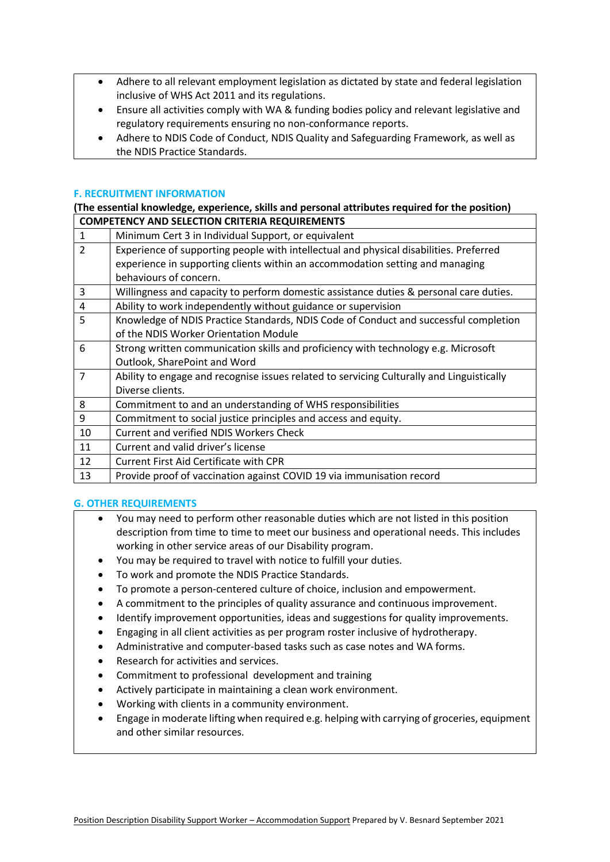- Adhere to all relevant employment legislation as dictated by state and federal legislation inclusive of WHS Act 2011 and its regulations.
- Ensure all activities comply with WA & funding bodies policy and relevant legislative and regulatory requirements ensuring no non-conformance reports.
- Adhere to NDIS Code of Conduct, NDIS Quality and Safeguarding Framework, as well as the NDIS Practice Standards.

## **F. RECRUITMENT INFORMATION**

#### **(The essential knowledge, experience, skills and personal attributes required for the position) COMPETENCY AND SELECTION CRITERIA REQUIREMENTS**

| Minimum Cert 3 in Individual Support, or equivalent                                       |
|-------------------------------------------------------------------------------------------|
| Experience of supporting people with intellectual and physical disabilities. Preferred    |
| experience in supporting clients within an accommodation setting and managing             |
| behaviours of concern.                                                                    |
| Willingness and capacity to perform domestic assistance duties & personal care duties.    |
| Ability to work independently without guidance or supervision                             |
| Knowledge of NDIS Practice Standards, NDIS Code of Conduct and successful completion      |
| of the NDIS Worker Orientation Module                                                     |
| Strong written communication skills and proficiency with technology e.g. Microsoft        |
| Outlook, SharePoint and Word                                                              |
| Ability to engage and recognise issues related to servicing Culturally and Linguistically |
| Diverse clients.                                                                          |
| Commitment to and an understanding of WHS responsibilities                                |
| Commitment to social justice principles and access and equity.                            |
| <b>Current and verified NDIS Workers Check</b>                                            |
| Current and valid driver's license                                                        |
| <b>Current First Aid Certificate with CPR</b>                                             |
| Provide proof of vaccination against COVID 19 via immunisation record                     |
|                                                                                           |

### **G. OTHER REQUIREMENTS**

- You may need to perform other reasonable duties which are not listed in this position description from time to time to meet our business and operational needs. This includes working in other service areas of our Disability program.
- You may be required to travel with notice to fulfill your duties.
- To work and promote the NDIS Practice Standards.
- To promote a person-centered culture of choice, inclusion and empowerment.
- A commitment to the principles of quality assurance and continuous improvement.
- Identify improvement opportunities, ideas and suggestions for quality improvements.
- Engaging in all client activities as per program roster inclusive of hydrotherapy.
- Administrative and computer-based tasks such as case notes and WA forms.
- Research for activities and services.
- Commitment to professional development and training
- Actively participate in maintaining a clean work environment.
- Working with clients in a community environment.
- Engage in moderate lifting when required e.g. helping with carrying of groceries, equipment and other similar resources.